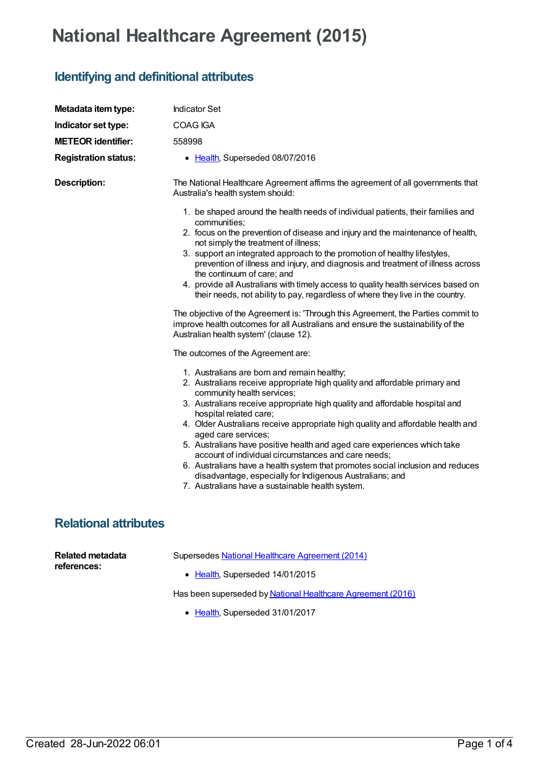## **National Healthcare Agreement (2015)**

## **Identifying and definitional attributes**

| Metadata item type:                    | <b>Indicator Set</b>                                                                                                                                                                                                                                                                                                                                                                                                                                                                                                                                                                                                                                                                                                                                                     |
|----------------------------------------|--------------------------------------------------------------------------------------------------------------------------------------------------------------------------------------------------------------------------------------------------------------------------------------------------------------------------------------------------------------------------------------------------------------------------------------------------------------------------------------------------------------------------------------------------------------------------------------------------------------------------------------------------------------------------------------------------------------------------------------------------------------------------|
| Indicator set type:                    | COAG IGA                                                                                                                                                                                                                                                                                                                                                                                                                                                                                                                                                                                                                                                                                                                                                                 |
| <b>METEOR identifier:</b>              | 558998                                                                                                                                                                                                                                                                                                                                                                                                                                                                                                                                                                                                                                                                                                                                                                   |
| <b>Registration status:</b>            | • Health, Superseded 08/07/2016                                                                                                                                                                                                                                                                                                                                                                                                                                                                                                                                                                                                                                                                                                                                          |
| <b>Description:</b>                    | The National Healthcare Agreement affirms the agreement of all governments that<br>Australia's health system should:                                                                                                                                                                                                                                                                                                                                                                                                                                                                                                                                                                                                                                                     |
|                                        | 1. be shaped around the health needs of individual patients, their families and<br>communities;<br>2. focus on the prevention of disease and injury and the maintenance of health,<br>not simply the treatment of illness;<br>3. support an integrated approach to the promotion of healthy lifestyles,<br>prevention of illness and injury, and diagnosis and treatment of illness across<br>the continuum of care; and<br>4. provide all Australians with timely access to quality health services based on<br>their needs, not ability to pay, regardless of where they live in the country.<br>The objective of the Agreement is: 'Through this Agreement, the Parties commit to<br>improve health outcomes for all Australians and ensure the sustainability of the |
|                                        | Australian health system' (clause 12).<br>The outcomes of the Agreement are:                                                                                                                                                                                                                                                                                                                                                                                                                                                                                                                                                                                                                                                                                             |
|                                        | 1. Australians are born and remain healthy;<br>2. Australians receive appropriate high quality and affordable primary and<br>community health services;<br>3. Australians receive appropriate high quality and affordable hospital and<br>hospital related care;<br>4. Older Australians receive appropriate high quality and affordable health and<br>aged care services;<br>5. Australians have positive health and aged care experiences which take<br>account of individual circumstances and care needs;<br>6. Australians have a health system that promotes social inclusion and reduces<br>disadvantage, especially for Indigenous Australians; and<br>7. Australians have a sustainable health system.                                                          |
| <b>Relational attributes</b>           |                                                                                                                                                                                                                                                                                                                                                                                                                                                                                                                                                                                                                                                                                                                                                                          |
| <b>Related metadata</b><br>references: | Supersedes National Healthcare Agreement (2014)<br>• Health, Superseded 14/01/2015                                                                                                                                                                                                                                                                                                                                                                                                                                                                                                                                                                                                                                                                                       |

Has been superseded by National Healthcare [Agreement](https://meteor.aihw.gov.au/content/598643) (2016)

• [Health](https://meteor.aihw.gov.au/RegistrationAuthority/12), Superseded 31/01/2017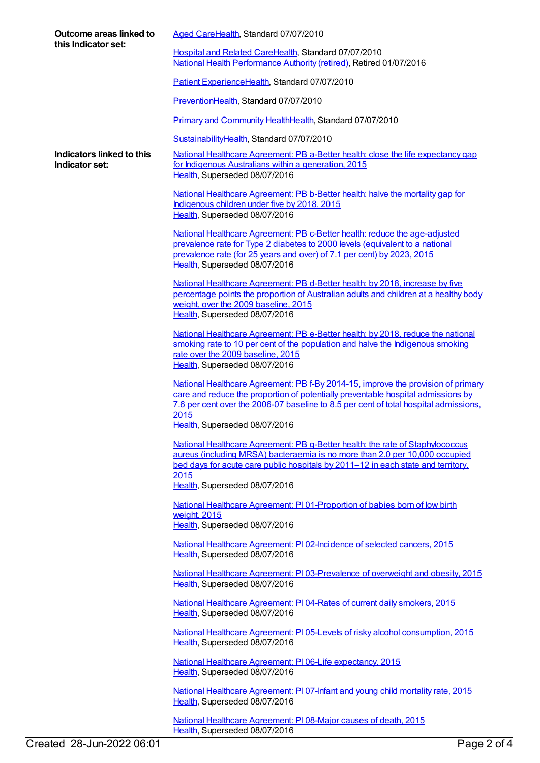| Outcome areas linked to<br>this Indicator set: | Aged CareHealth, Standard 07/07/2010                                                                                                                                                                                                                                                                  |
|------------------------------------------------|-------------------------------------------------------------------------------------------------------------------------------------------------------------------------------------------------------------------------------------------------------------------------------------------------------|
|                                                | Hospital and Related CareHealth, Standard 07/07/2010<br>National Health Performance Authority (retired), Retired 01/07/2016                                                                                                                                                                           |
|                                                | Patient ExperienceHealth, Standard 07/07/2010                                                                                                                                                                                                                                                         |
|                                                | PreventionHealth, Standard 07/07/2010                                                                                                                                                                                                                                                                 |
|                                                | <b>Primary and Community HealthHealth, Standard 07/07/2010</b>                                                                                                                                                                                                                                        |
|                                                | SustainabilityHealth, Standard 07/07/2010                                                                                                                                                                                                                                                             |
| Indicators linked to this<br>Indicator set:    | National Healthcare Agreement: PB a-Better health: close the life expectancy gap<br>for Indigenous Australians within a generation, 2015<br>Health, Superseded 08/07/2016                                                                                                                             |
|                                                | National Healthcare Agreement: PB b-Better health: halve the mortality gap for<br>Indigenous children under five by 2018, 2015<br>Health, Superseded 08/07/2016                                                                                                                                       |
|                                                | National Healthcare Agreement: PB c-Better health: reduce the age-adjusted<br>prevalence rate for Type 2 diabetes to 2000 levels (equivalent to a national<br>prevalence rate (for 25 years and over) of 7.1 per cent) by 2023, 2015<br>Health, Superseded 08/07/2016                                 |
|                                                | National Healthcare Agreement: PB d-Better health: by 2018, increase by five<br>percentage points the proportion of Australian adults and children at a healthy body<br>weight, over the 2009 baseline, 2015<br>Health, Superseded 08/07/2016                                                         |
|                                                | National Healthcare Agreement: PB e-Better health: by 2018, reduce the national                                                                                                                                                                                                                       |
|                                                | smoking rate to 10 per cent of the population and halve the Indigenous smoking<br>rate over the 2009 baseline, 2015<br>Health, Superseded 08/07/2016                                                                                                                                                  |
|                                                | National Healthcare Agreement: PB f-By 2014-15, improve the provision of primary<br>care and reduce the proportion of potentially preventable hospital admissions by<br>7.6 per cent over the 2006-07 baseline to 8.5 per cent of total hospital admissions,<br>2015<br>Health, Superseded 08/07/2016 |
|                                                | National Healthcare Agreement: PB g-Better health: the rate of Staphylococcus<br>aureus (including MRSA) bacteraemia is no more than 2.0 per 10,000 occupied<br>bed days for acute care public hospitals by 2011–12 in each state and territory.<br>2015                                              |
|                                                | Health, Superseded 08/07/2016                                                                                                                                                                                                                                                                         |
|                                                | National Healthcare Agreement: P101-Proportion of babies born of low birth<br>weight, 2015<br>Health, Superseded 08/07/2016                                                                                                                                                                           |
|                                                | National Healthcare Agreement: P102-Incidence of selected cancers, 2015                                                                                                                                                                                                                               |
|                                                | Health, Superseded 08/07/2016                                                                                                                                                                                                                                                                         |
|                                                | National Healthcare Agreement: PI03-Prevalence of overweight and obesity, 2015<br>Health, Superseded 08/07/2016                                                                                                                                                                                       |
|                                                | National Healthcare Agreement: PI04-Rates of current daily smokers, 2015<br>Health, Superseded 08/07/2016                                                                                                                                                                                             |
|                                                | National Healthcare Agreement: PI05-Levels of risky alcohol consumption, 2015<br>Health, Superseded 08/07/2016                                                                                                                                                                                        |
|                                                | National Healthcare Agreement: P106-Life expectancy, 2015<br>Health, Superseded 08/07/2016                                                                                                                                                                                                            |
|                                                | National Healthcare Agreement: PI07-Infant and young child mortality rate, 2015<br>Health, Superseded 08/07/2016                                                                                                                                                                                      |

[Health](https://meteor.aihw.gov.au/RegistrationAuthority/12), Superseded 08/07/2016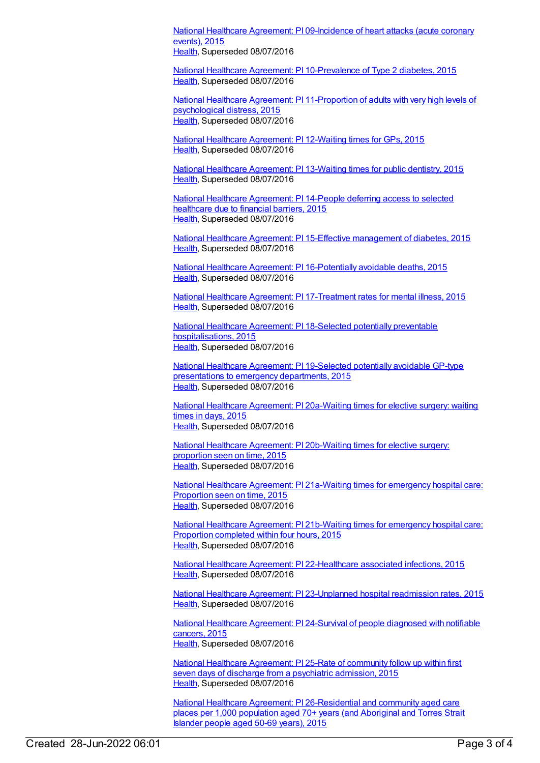National Healthcare Agreement: PI [09-Incidence](https://meteor.aihw.gov.au/content/559050) of heart attacks (acute coronary events), 2015 [Health](https://meteor.aihw.gov.au/RegistrationAuthority/12), Superseded 08/07/2016

National Healthcare Agreement: PI [10-Prevalence](https://meteor.aihw.gov.au/content/559048) of Type 2 diabetes, 2015 [Health](https://meteor.aihw.gov.au/RegistrationAuthority/12), Superseded 08/07/2016

National Healthcare Agreement: PI [11-Proportion](https://meteor.aihw.gov.au/content/559046) of adults with very high levels of psychological distress, 2015 [Health](https://meteor.aihw.gov.au/RegistrationAuthority/12), Superseded 08/07/2016

National Healthcare [Agreement:](https://meteor.aihw.gov.au/content/559044) PI 12-Waiting times for GPs, 2015 [Health](https://meteor.aihw.gov.au/RegistrationAuthority/12), Superseded 08/07/2016

National Healthcare [Agreement:](https://meteor.aihw.gov.au/content/559042) PI 13-Waiting times for public dentistry, 2015 [Health](https://meteor.aihw.gov.au/RegistrationAuthority/12), Superseded 08/07/2016

National Healthcare [Agreement:](https://meteor.aihw.gov.au/content/559040) PI 14-People deferring access to selected healthcare due to financial barriers, 2015 [Health](https://meteor.aihw.gov.au/RegistrationAuthority/12), Superseded 08/07/2016

National Healthcare Agreement: PI 15-Effective [management](https://meteor.aihw.gov.au/content/559038) of diabetes, 2015 [Health](https://meteor.aihw.gov.au/RegistrationAuthority/12), Superseded 08/07/2016

National Healthcare Agreement: PI [16-Potentially](https://meteor.aihw.gov.au/content/559036) avoidable deaths, 2015 [Health](https://meteor.aihw.gov.au/RegistrationAuthority/12), Superseded 08/07/2016

National Healthcare Agreement: PI [17-Treatment](https://meteor.aihw.gov.au/content/559034) rates for mental illness, 2015 [Health](https://meteor.aihw.gov.au/RegistrationAuthority/12), Superseded 08/07/2016

National Healthcare Agreement: PI 18-Selected potentially preventable [hospitalisations,](https://meteor.aihw.gov.au/content/559032) 2015 [Health](https://meteor.aihw.gov.au/RegistrationAuthority/12), Superseded 08/07/2016

National Healthcare Agreement: PI [19-Selected](https://meteor.aihw.gov.au/content/588731) potentially avoidable GP-type presentations to emergency departments, 2015 [Health](https://meteor.aihw.gov.au/RegistrationAuthority/12), Superseded 08/07/2016

National Healthcare Agreement: PI [20a-Waiting](https://meteor.aihw.gov.au/content/559030) times for elective surgery: waiting times in days, 2015 [Health](https://meteor.aihw.gov.au/RegistrationAuthority/12), Superseded 08/07/2016

National Healthcare Agreement: PI [20b-Waiting](https://meteor.aihw.gov.au/content/559028) times for elective surgery: proportion seen on time, 2015 [Health](https://meteor.aihw.gov.au/RegistrationAuthority/12), Superseded 08/07/2016

National Healthcare Agreement: PI [21a-Waiting](https://meteor.aihw.gov.au/content/559026) times for emergency hospital care: Proportion seen on time, 2015 [Health](https://meteor.aihw.gov.au/RegistrationAuthority/12), Superseded 08/07/2016

National Healthcare Agreement: PI [21b-Waiting](https://meteor.aihw.gov.au/content/559024) times for emergency hospital care: Proportion completed within four hours, 2015 [Health](https://meteor.aihw.gov.au/RegistrationAuthority/12), Superseded 08/07/2016

National Healthcare Agreement: PI [22-Healthcare](https://meteor.aihw.gov.au/content/559022) associated infections, 2015 [Health](https://meteor.aihw.gov.au/RegistrationAuthority/12), Superseded 08/07/2016

National Healthcare Agreement: PI [23-Unplanned](https://meteor.aihw.gov.au/content/559020) hospital readmission rates, 2015 [Health](https://meteor.aihw.gov.au/RegistrationAuthority/12), Superseded 08/07/2016

National Healthcare [Agreement:](https://meteor.aihw.gov.au/content/559018) PI 24-Survival of people diagnosed with notifiable cancers, 2015 [Health](https://meteor.aihw.gov.au/RegistrationAuthority/12), Superseded 08/07/2016

National Healthcare [Agreement:](https://meteor.aihw.gov.au/content/559016) PI 25-Rate of community follow up within first seven days of discharge from a psychiatric admission, 2015 [Health](https://meteor.aihw.gov.au/RegistrationAuthority/12), Superseded 08/07/2016

National Healthcare Agreement: PI [26-Residential](https://meteor.aihw.gov.au/content/559014) and community aged care places per 1,000 population aged 70+ years (and Aboriginal and Torres Strait Islander people aged 50-69 years), 2015